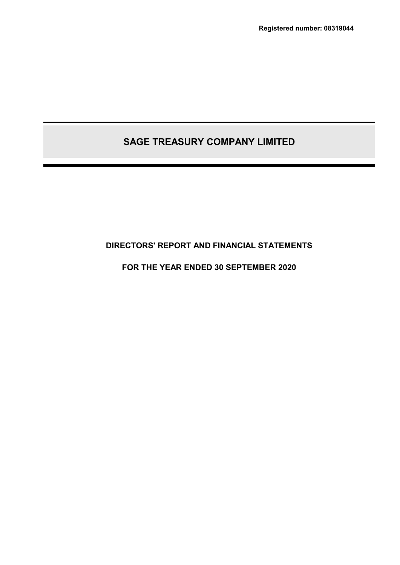## **DIRECTORS' REPORT AND FINANCIAL STATEMENTS**

## **FOR THE YEAR ENDED 30 SEPTEMBER 2020**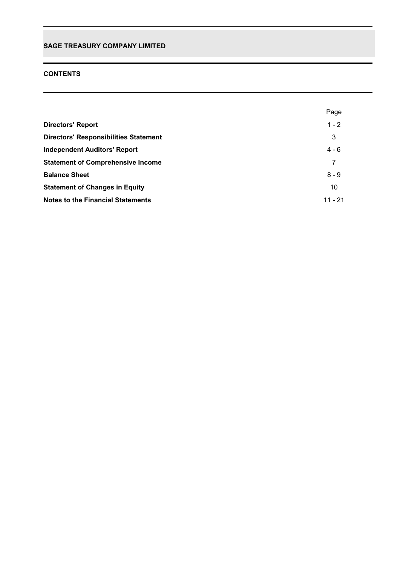## **CONTENTS**

|                                              | Page      |
|----------------------------------------------|-----------|
| <b>Directors' Report</b>                     | $1 - 2$   |
| <b>Directors' Responsibilities Statement</b> | 3         |
| <b>Independent Auditors' Report</b>          | $4 - 6$   |
| <b>Statement of Comprehensive Income</b>     | 7         |
| <b>Balance Sheet</b>                         | $8 - 9$   |
| <b>Statement of Changes in Equity</b>        | 10        |
| <b>Notes to the Financial Statements</b>     | $11 - 21$ |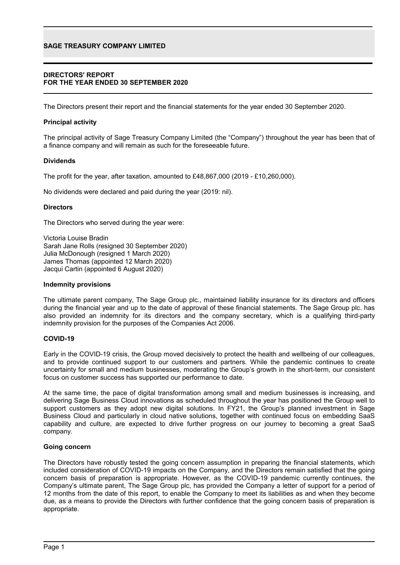## **DIRECTORS' REPORT FOR THE YEAR ENDED 30 SEPTEMBER 2020**

The Directors present their report and the financial statements for the year ended 30 September 2020.

#### **Principal activity**

The principal activity of Sage Treasury Company Limited (the "Company") throughout the year has been that of a finance company and will remain as such for the foreseeable future.

#### **Dividends**

The profit for the year, after taxation, amounted to £48,867,000 (2019 - £10,260,000).

No dividends were declared and paid during the year (2019: nil).

#### **Directors**

The Directors who served during the year were:

Victoria Louise Bradin Sarah Jane Rolls (resigned 30 September 2020) Julia McDonough (resigned 1 March 2020) James Thomas (appointed 12 March 2020) Jacqui Cartin (appointed 6 August 2020)

#### **Indemnity provisions**

The ultimate parent company, The Sage Group plc., maintained liability insurance for its directors and officers during the financial year and up to the date of approval of these financial statements. The Sage Group plc. has also provided an indemnity for its directors and the company secretary, which is a qualifying third-party indemnity provision for the purposes of the Companies Act 2006.

#### **COVID-19**

Early in the COVID-19 crisis, the Group moved decisively to protect the health and wellbeing of our colleagues, and to provide continued support to our customers and partners. While the pandemic continues to create uncertainty for small and medium businesses, moderating the Group's growth in the short-term, our consistent focus on customer success has supported our performance to date.

At the same time, the pace of digital transformation among small and medium businesses is increasing, and delivering Sage Business Cloud innovations as scheduled throughout the year has positioned the Group well to support customers as they adopt new digital solutions. In FY21, the Group's planned investment in Sage Business Cloud and particularly in cloud native solutions, together with continued focus on embedding SaaS capability and culture, are expected to drive further progress on our journey to becoming a great SaaS company.

#### **Going concern**

The Directors have robustly tested the going concern assumption in preparing the financial statements, which included consideration of COVID-19 impacts on the Company, and the Directors remain satisfied that the going concern basis of preparation is appropriate. However, as the COVID-19 pandemic currently continues, the Company's ultimate parent, The Sage Group plc, has provided the Company a letter of support for a period of 12 months from the date of this report, to enable the Company to meet its liabilities as and when they become due, as a means to provide the Directors with further confidence that the going concern basis of preparation is appropriate.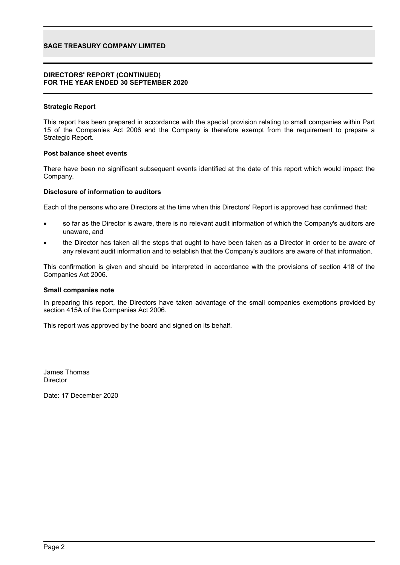## **DIRECTORS' REPORT (CONTINUED) FOR THE YEAR ENDED 30 SEPTEMBER 2020**

#### **Strategic Report**

This report has been prepared in accordance with the special provision relating to small companies within Part 15 of the Companies Act 2006 and the Company is therefore exempt from the requirement to prepare a Strategic Report.

#### **Post balance sheet events**

There have been no significant subsequent events identified at the date of this report which would impact the Company.

#### **Disclosure of information to auditors**

Each of the persons who are Directors at the time when this Directors' Report is approved has confirmed that:

- so far as the Director is aware, there is no relevant audit information of which the Company's auditors are unaware, and
- the Director has taken all the steps that ought to have been taken as a Director in order to be aware of any relevant audit information and to establish that the Company's auditors are aware of that information.

This confirmation is given and should be interpreted in accordance with the provisions of section 418 of the Companies Act 2006.

#### **Small companies note**

In preparing this report, the Directors have taken advantage of the small companies exemptions provided by section 415A of the Companies Act 2006.

This report was approved by the board and signed on its behalf.

James Thomas **Director** 

Date: 17 December 2020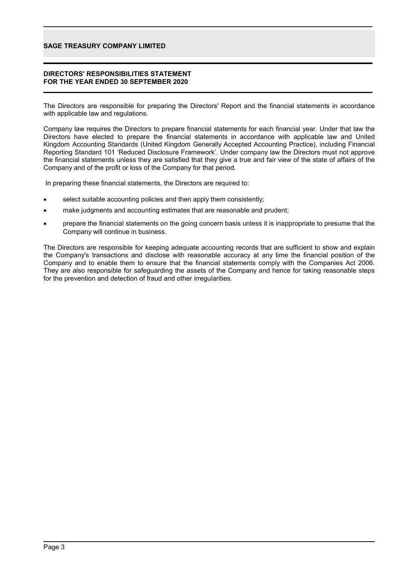#### **DIRECTORS' RESPONSIBILITIES STATEMENT FOR THE YEAR ENDED 30 SEPTEMBER 2020**

The Directors are responsible for preparing the Directors' Report and the financial statements in accordance with applicable law and regulations.

Company law requires the Directors to prepare financial statements for each financial year. Under that law the Directors have elected to prepare the financial statements in accordance with applicable law and United Kingdom Accounting Standards (United Kingdom Generally Accepted Accounting Practice), including Financial Reporting Standard 101 'Reduced Disclosure Framework'. Under company law the Directors must not approve the financial statements unless they are satisfied that they give a true and fair view of the state of affairs of the Company and of the profit or loss of the Company for that period.

In preparing these financial statements, the Directors are required to:

- select suitable accounting policies and then apply them consistently;
- make judgments and accounting estimates that are reasonable and prudent;
- prepare the financial statements on the going concern basis unless it is inappropriate to presume that the Company will continue in business.

The Directors are responsible for keeping adequate accounting records that are sufficient to show and explain the Company's transactions and disclose with reasonable accuracy at any time the financial position of the Company and to enable them to ensure that the financial statements comply with the Companies Act 2006. They are also responsible for safeguarding the assets of the Company and hence for taking reasonable steps for the prevention and detection of fraud and other irregularities.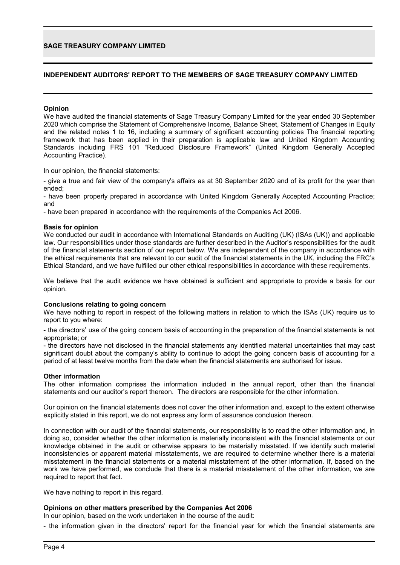## **INDEPENDENT AUDITORS' REPORT TO THE MEMBERS OF SAGE TREASURY COMPANY LIMITED**

#### **Opinion**

We have audited the financial statements of Sage Treasury Company Limited for the year ended 30 September 2020 which comprise the Statement of Comprehensive Income, Balance Sheet, Statement of Changes in Equity and the related notes 1 to 16, including a summary of significant accounting policies The financial reporting framework that has been applied in their preparation is applicable law and United Kingdom Accounting Standards including FRS 101 "Reduced Disclosure Framework" (United Kingdom Generally Accepted Accounting Practice).

In our opinion, the financial statements:

- give a true and fair view of the company's affairs as at 30 September 2020 and of its profit for the year then ended;

- have been properly prepared in accordance with United Kingdom Generally Accepted Accounting Practice; and

- have been prepared in accordance with the requirements of the Companies Act 2006.

#### **Basis for opinion**

We conducted our audit in accordance with International Standards on Auditing (UK) (ISAs (UK)) and applicable law. Our responsibilities under those standards are further described in the Auditor's responsibilities for the audit of the financial statements section of our report below. We are independent of the company in accordance with the ethical requirements that are relevant to our audit of the financial statements in the UK, including the FRC's Ethical Standard, and we have fulfilled our other ethical responsibilities in accordance with these requirements.

We believe that the audit evidence we have obtained is sufficient and appropriate to provide a basis for our opinion.

#### **Conclusions relating to going concern**

We have nothing to report in respect of the following matters in relation to which the ISAs (UK) require us to report to you where:

- the directors' use of the going concern basis of accounting in the preparation of the financial statements is not appropriate; or

- the directors have not disclosed in the financial statements any identified material uncertainties that may cast significant doubt about the company's ability to continue to adopt the going concern basis of accounting for a period of at least twelve months from the date when the financial statements are authorised for issue.

#### **Other information**

The other information comprises the information included in the annual report, other than the financial statements and our auditor's report thereon. The directors are responsible for the other information.

Our opinion on the financial statements does not cover the other information and, except to the extent otherwise explicitly stated in this report, we do not express any form of assurance conclusion thereon.

In connection with our audit of the financial statements, our responsibility is to read the other information and, in doing so, consider whether the other information is materially inconsistent with the financial statements or our knowledge obtained in the audit or otherwise appears to be materially misstated. If we identify such material inconsistencies or apparent material misstatements, we are required to determine whether there is a material misstatement in the financial statements or a material misstatement of the other information. If, based on the work we have performed, we conclude that there is a material misstatement of the other information, we are required to report that fact.

We have nothing to report in this regard.

#### **Opinions on other matters prescribed by the Companies Act 2006**

In our opinion, based on the work undertaken in the course of the audit:

- the information given in the directors' report for the financial year for which the financial statements are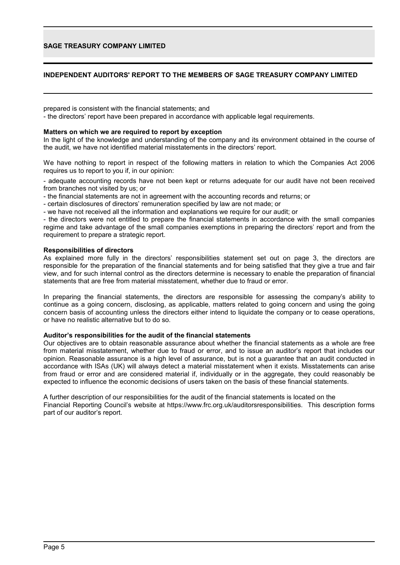## **INDEPENDENT AUDITORS' REPORT TO THE MEMBERS OF SAGE TREASURY COMPANY LIMITED**

prepared is consistent with the financial statements; and

- the directors' report have been prepared in accordance with applicable legal requirements.

#### **Matters on which we are required to report by exception**

In the light of the knowledge and understanding of the company and its environment obtained in the course of the audit, we have not identified material misstatements in the directors' report.

We have nothing to report in respect of the following matters in relation to which the Companies Act 2006 requires us to report to you if, in our opinion:

- adequate accounting records have not been kept or returns adequate for our audit have not been received from branches not visited by us; or

- the financial statements are not in agreement with the accounting records and returns; or

- certain disclosures of directors' remuneration specified by law are not made; or

- we have not received all the information and explanations we require for our audit; or

- the directors were not entitled to prepare the financial statements in accordance with the small companies regime and take advantage of the small companies exemptions in preparing the directors' report and from the requirement to prepare a strategic report.

#### **Responsibilities of directors**

As explained more fully in the directors' responsibilities statement set out on page 3, the directors are responsible for the preparation of the financial statements and for being satisfied that they give a true and fair view, and for such internal control as the directors determine is necessary to enable the preparation of financial statements that are free from material misstatement, whether due to fraud or error.

In preparing the financial statements, the directors are responsible for assessing the company's ability to continue as a going concern, disclosing, as applicable, matters related to going concern and using the going concern basis of accounting unless the directors either intend to liquidate the company or to cease operations, or have no realistic alternative but to do so.

## **Auditor's responsibilities for the audit of the financial statements**

Our objectives are to obtain reasonable assurance about whether the financial statements as a whole are free from material misstatement, whether due to fraud or error, and to issue an auditor's report that includes our opinion. Reasonable assurance is a high level of assurance, but is not a guarantee that an audit conducted in accordance with ISAs (UK) will always detect a material misstatement when it exists. Misstatements can arise from fraud or error and are considered material if, individually or in the aggregate, they could reasonably be expected to influence the economic decisions of users taken on the basis of these financial statements.

A further description of our responsibilities for the audit of the financial statements is located on the Financial Reporting Council's website at https://www.frc.org.uk/auditorsresponsibilities. This description forms part of our auditor's report.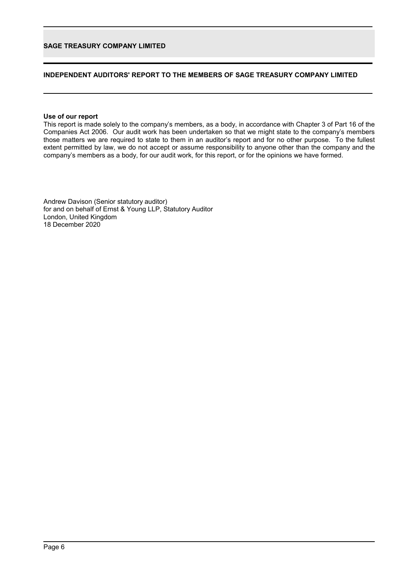## **INDEPENDENT AUDITORS' REPORT TO THE MEMBERS OF SAGE TREASURY COMPANY LIMITED**

#### **Use of our report**

This report is made solely to the company's members, as a body, in accordance with Chapter 3 of Part 16 of the Companies Act 2006. Our audit work has been undertaken so that we might state to the company's members those matters we are required to state to them in an auditor's report and for no other purpose. To the fullest extent permitted by law, we do not accept or assume responsibility to anyone other than the company and the company's members as a body, for our audit work, for this report, or for the opinions we have formed.

Andrew Davison (Senior statutory auditor) for and on behalf of Ernst & Young LLP, Statutory Auditor London, United Kingdom 18 December 2020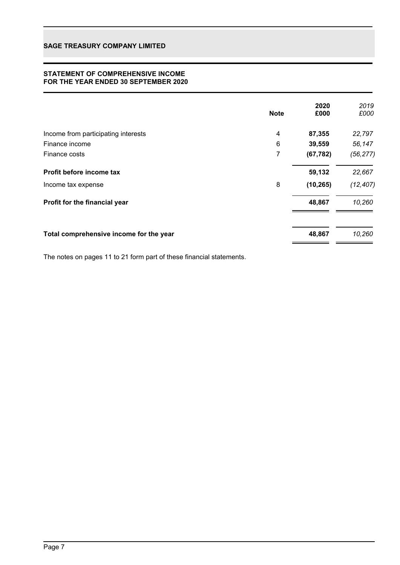## **STATEMENT OF COMPREHENSIVE INCOME FOR THE YEAR ENDED 30 SEPTEMBER 2020**

|                                         | <b>Note</b> | 2020<br>£000 | 2019<br>£000 |
|-----------------------------------------|-------------|--------------|--------------|
| Income from participating interests     | 4           | 87,355       | 22,797       |
| Finance income                          | 6           | 39,559       | 56,147       |
| Finance costs                           | 7           | (67, 782)    | (56, 277)    |
| Profit before income tax                |             | 59,132       | 22,667       |
| Income tax expense                      | 8           | (10, 265)    | (12, 407)    |
| Profit for the financial year           |             | 48,867       | 10,260       |
| Total comprehensive income for the year |             | 48,867       | 10,260       |

The notes on pages 11 to 21 form part of these financial statements.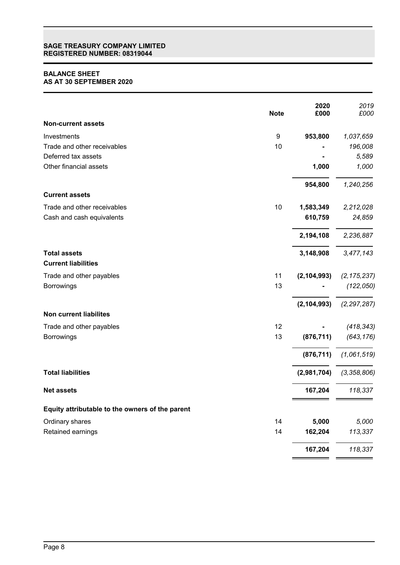## **SAGE TREASURY COMPANY LIMITED REGISTERED NUMBER: 08319044**

### **BALANCE SHEET AS AT 30 SEPTEMBER 2020**

|                                                   | <b>Note</b> | 2020<br>£000  | 2019<br>£000  |
|---------------------------------------------------|-------------|---------------|---------------|
| <b>Non-current assets</b>                         |             |               |               |
| Investments                                       | 9           | 953,800       | 1,037,659     |
| Trade and other receivables                       | 10          |               | 196,008       |
| Deferred tax assets                               |             |               | 5,589         |
| Other financial assets                            |             | 1,000         | 1,000         |
|                                                   |             | 954,800       | 1,240,256     |
| <b>Current assets</b>                             |             |               |               |
| Trade and other receivables                       | 10          | 1,583,349     | 2,212,028     |
| Cash and cash equivalents                         |             | 610,759       | 24,859        |
|                                                   |             | 2,194,108     | 2,236,887     |
| <b>Total assets</b><br><b>Current liabilities</b> |             | 3,148,908     | 3,477,143     |
| Trade and other payables                          | 11          | (2, 104, 993) | (2, 175, 237) |
| <b>Borrowings</b>                                 | 13          |               | (122, 050)    |
|                                                   |             | (2, 104, 993) | (2, 297, 287) |
| <b>Non current liabilites</b>                     |             |               |               |
| Trade and other payables                          | 12          |               | (418, 343)    |
| <b>Borrowings</b>                                 | 13          | (876, 711)    | (643, 176)    |
|                                                   |             | (876, 711)    | (1,061,519)   |
| <b>Total liabilities</b>                          |             | (2,981,704)   | (3, 358, 806) |
| <b>Net assets</b>                                 |             | 167,204       | 118,337       |
| Equity attributable to the owners of the parent   |             |               |               |
| Ordinary shares                                   | 14          | 5,000         | 5,000         |
| Retained earnings                                 | 14          | 162,204       | 113,337       |
|                                                   |             | 167,204       | 118,337       |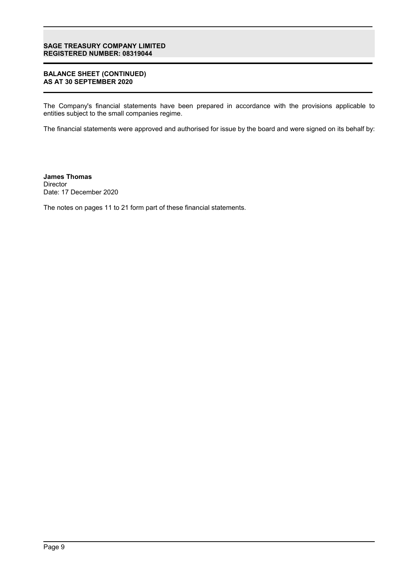## **SAGE TREASURY COMPANY LIMITED REGISTERED NUMBER: 08319044**

## **BALANCE SHEET (CONTINUED) AS AT 30 SEPTEMBER 2020**

The Company's financial statements have been prepared in accordance with the provisions applicable to entities subject to the small companies regime.

The financial statements were approved and authorised for issue by the board and were signed on its behalf by:

**James Thomas Director** Date: 17 December 2020

The notes on pages 11 to 21 form part of these financial statements.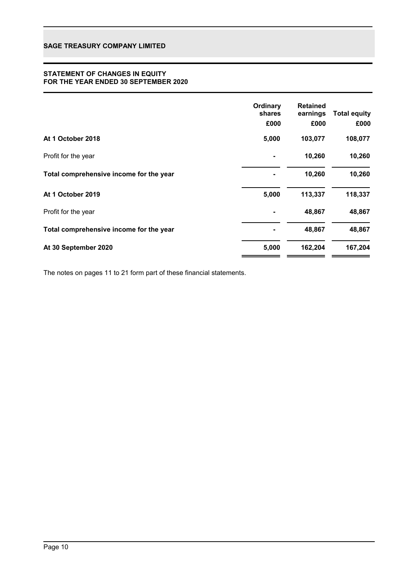#### **STATEMENT OF CHANGES IN EQUITY FOR THE YEAR ENDED 30 SEPTEMBER 2020**

|                                         | Ordinary<br>shares<br>£000 | <b>Retained</b><br>earnings<br>£000 | <b>Total equity</b><br>£000 |
|-----------------------------------------|----------------------------|-------------------------------------|-----------------------------|
| At 1 October 2018                       | 5,000                      | 103,077                             | 108,077                     |
| Profit for the year                     |                            | 10,260                              | 10,260                      |
| Total comprehensive income for the year |                            | 10,260                              | 10,260                      |
| At 1 October 2019                       | 5,000                      | 113,337                             | 118,337                     |
| Profit for the year                     |                            | 48,867                              | 48,867                      |
| Total comprehensive income for the year |                            | 48,867                              | 48,867                      |
| At 30 September 2020                    | 5,000                      | 162,204                             | 167,204                     |

The notes on pages 11 to 21 form part of these financial statements.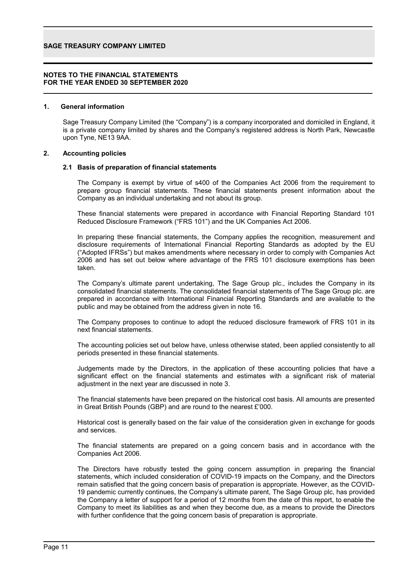#### **1. General information**

Sage Treasury Company Limited (the "Company") is a company incorporated and domiciled in England, it is a private company limited by shares and the Company's registered address is North Park, Newcastle upon Tyne, NE13 9AA.

#### **2. Accounting policies**

#### **2.1 Basis of preparation of financial statements**

The Company is exempt by virtue of s400 of the Companies Act 2006 from the requirement to prepare group financial statements. These financial statements present information about the Company as an individual undertaking and not about its group.

These financial statements were prepared in accordance with Financial Reporting Standard 101 Reduced Disclosure Framework ("FRS 101") and the UK Companies Act 2006.

In preparing these financial statements, the Company applies the recognition, measurement and disclosure requirements of International Financial Reporting Standards as adopted by the EU ("Adopted IFRSs") but makes amendments where necessary in order to comply with Companies Act 2006 and has set out below where advantage of the FRS 101 disclosure exemptions has been taken.

The Company's ultimate parent undertaking, The Sage Group plc., includes the Company in its consolidated financial statements. The consolidated financial statements of The Sage Group plc. are prepared in accordance with International Financial Reporting Standards and are available to the public and may be obtained from the address given in note 16.

The Company proposes to continue to adopt the reduced disclosure framework of FRS 101 in its next financial statements.

The accounting policies set out below have, unless otherwise stated, been applied consistently to all periods presented in these financial statements.

Judgements made by the Directors, in the application of these accounting policies that have a significant effect on the financial statements and estimates with a significant risk of material adjustment in the next year are discussed in note 3.

The financial statements have been prepared on the historical cost basis. All amounts are presented in Great British Pounds (GBP) and are round to the nearest £'000.

Historical cost is generally based on the fair value of the consideration given in exchange for goods and services.

The financial statements are prepared on a going concern basis and in accordance with the Companies Act 2006.

The Directors have robustly tested the going concern assumption in preparing the financial statements, which included consideration of COVID-19 impacts on the Company, and the Directors remain satisfied that the going concern basis of preparation is appropriate. However, as the COVID-19 pandemic currently continues, the Company's ultimate parent, The Sage Group plc, has provided the Company a letter of support for a period of 12 months from the date of this report, to enable the Company to meet its liabilities as and when they become due, as a means to provide the Directors with further confidence that the going concern basis of preparation is appropriate.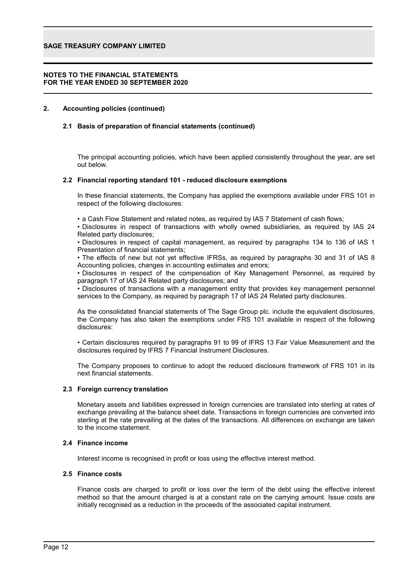#### **2. Accounting policies (continued)**

#### **2.1 Basis of preparation of financial statements (continued)**

The principal accounting policies, which have been applied consistently throughout the year, are set out below.

#### **2.2 Financial reporting standard 101 - reduced disclosure exemptions**

In these financial statements, the Company has applied the exemptions available under FRS 101 in respect of the following disclosures:

• a Cash Flow Statement and related notes, as required by IAS 7 Statement of cash flows;

• Disclosures in respect of transactions with wholly owned subsidiaries, as required by IAS 24 Related party disclosures;

• Disclosures in respect of capital management, as required by paragraphs 134 to 136 of IAS 1 Presentation of financial statements;

• The effects of new but not yet effective IFRSs, as required by paragraphs 30 and 31 of IAS 8 Accounting policies, changes in accounting estimates and errors;

• Disclosures in respect of the compensation of Key Management Personnel, as required by paragraph 17 of IAS 24 Related party disclosures; and

• Disclosures of transactions with a management entity that provides key management personnel services to the Company, as required by paragraph 17 of IAS 24 Related party disclosures.

As the consolidated financial statements of The Sage Group plc. include the equivalent disclosures, the Company has also taken the exemptions under FRS 101 available in respect of the following disclosures:

• Certain disclosures required by paragraphs 91 to 99 of IFRS 13 Fair Value Measurement and the disclosures required by IFRS 7 Financial Instrument Disclosures.

The Company proposes to continue to adopt the reduced disclosure framework of FRS 101 in its next financial statements.

#### **2.3 Foreign currency translation**

Monetary assets and liabilities expressed in foreign currencies are translated into sterling at rates of exchange prevailing at the balance sheet date. Transactions in foreign currencies are converted into sterling at the rate prevailing at the dates of the transactions. All differences on exchange are taken to the income statement.

#### **2.4 Finance income**

Interest income is recognised in profit or loss using the effective interest method.

#### **2.5 Finance costs**

Finance costs are charged to profit or loss over the term of the debt using the effective interest method so that the amount charged is at a constant rate on the carrying amount. Issue costs are initially recognised as a reduction in the proceeds of the associated capital instrument.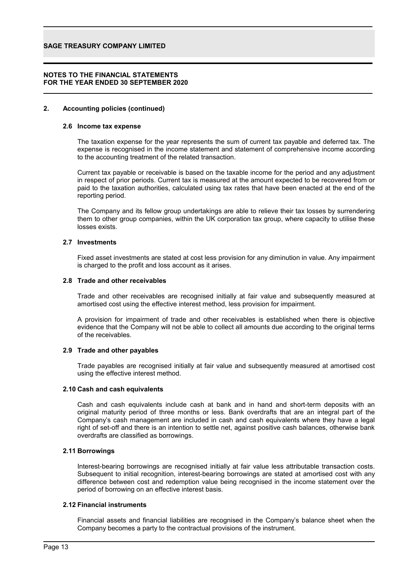#### **NOTES TO THE FINANCIAL STATEMENTS FOR THE YEAR ENDED 30 SEPTEMBER 2020**

#### **2. Accounting policies (continued)**

#### **2.6 Income tax expense**

The taxation expense for the year represents the sum of current tax payable and deferred tax. The expense is recognised in the income statement and statement of comprehensive income according to the accounting treatment of the related transaction.

Current tax payable or receivable is based on the taxable income for the period and any adjustment in respect of prior periods. Current tax is measured at the amount expected to be recovered from or paid to the taxation authorities, calculated using tax rates that have been enacted at the end of the reporting period.

The Company and its fellow group undertakings are able to relieve their tax losses by surrendering them to other group companies, within the UK corporation tax group, where capacity to utilise these losses exists.

#### **2.7 Investments**

Fixed asset investments are stated at cost less provision for any diminution in value. Any impairment is charged to the profit and loss account as it arises.

#### **2.8 Trade and other receivables**

Trade and other receivables are recognised initially at fair value and subsequently measured at amortised cost using the effective interest method, less provision for impairment.

A provision for impairment of trade and other receivables is established when there is objective evidence that the Company will not be able to collect all amounts due according to the original terms of the receivables.

#### **2.9 Trade and other payables**

Trade payables are recognised initially at fair value and subsequently measured at amortised cost using the effective interest method.

#### **2.10 Cash and cash equivalents**

Cash and cash equivalents include cash at bank and in hand and short-term deposits with an original maturity period of three months or less. Bank overdrafts that are an integral part of the Company's cash management are included in cash and cash equivalents where they have a legal right of set-off and there is an intention to settle net, against positive cash balances, otherwise bank overdrafts are classified as borrowings.

#### **2.11 Borrowings**

Interest-bearing borrowings are recognised initially at fair value less attributable transaction costs. Subsequent to initial recognition, interest-bearing borrowings are stated at amortised cost with any difference between cost and redemption value being recognised in the income statement over the period of borrowing on an effective interest basis.

#### **2.12 Financial instruments**

Financial assets and financial liabilities are recognised in the Company's balance sheet when the Company becomes a party to the contractual provisions of the instrument.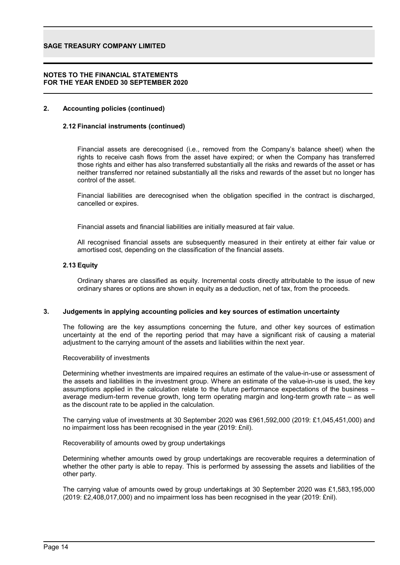#### **NOTES TO THE FINANCIAL STATEMENTS FOR THE YEAR ENDED 30 SEPTEMBER 2020**

### **2. Accounting policies (continued)**

#### **2.12 Financial instruments (continued)**

Financial assets are derecognised (i.e., removed from the Company's balance sheet) when the rights to receive cash flows from the asset have expired; or when the Company has transferred those rights and either has also transferred substantially all the risks and rewards of the asset or has neither transferred nor retained substantially all the risks and rewards of the asset but no longer has control of the asset.

Financial liabilities are derecognised when the obligation specified in the contract is discharged, cancelled or expires.

Financial assets and financial liabilities are initially measured at fair value.

All recognised financial assets are subsequently measured in their entirety at either fair value or amortised cost, depending on the classification of the financial assets.

#### **2.13 Equity**

Ordinary shares are classified as equity. Incremental costs directly attributable to the issue of new ordinary shares or options are shown in equity as a deduction, net of tax, from the proceeds.

#### **3. Judgements in applying accounting policies and key sources of estimation uncertainty**

The following are the key assumptions concerning the future, and other key sources of estimation uncertainty at the end of the reporting period that may have a significant risk of causing a material adjustment to the carrying amount of the assets and liabilities within the next year.

#### Recoverability of investments

Determining whether investments are impaired requires an estimate of the value-in-use or assessment of the assets and liabilities in the investment group. Where an estimate of the value-in-use is used, the key assumptions applied in the calculation relate to the future performance expectations of the business – average medium-term revenue growth, long term operating margin and long-term growth rate – as well as the discount rate to be applied in the calculation.

The carrying value of investments at 30 September 2020 was £961,592,000 (2019: £1,045,451,000) and no impairment loss has been recognised in the year (2019: £nil).

#### Recoverability of amounts owed by group undertakings

Determining whether amounts owed by group undertakings are recoverable requires a determination of whether the other party is able to repay. This is performed by assessing the assets and liabilities of the other party.

The carrying value of amounts owed by group undertakings at 30 September 2020 was £1,583,195,000 (2019: £2,408,017,000) and no impairment loss has been recognised in the year (2019: £nil).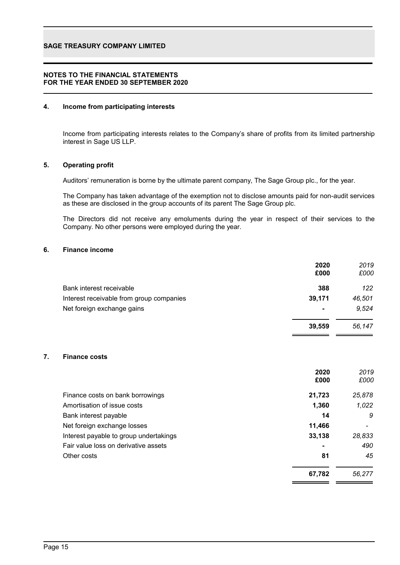#### **NOTES TO THE FINANCIAL STATEMENTS FOR THE YEAR ENDED 30 SEPTEMBER 2020**

## **4. Income from participating interests**

Income from participating interests relates to the Company's share of profits from its limited partnership interest in Sage US LLP.

## **5. Operating profit**

Auditors' remuneration is borne by the ultimate parent company, The Sage Group plc., for the year.

The Company has taken advantage of the exemption not to disclose amounts paid for non-audit services as these are disclosed in the group accounts of its parent The Sage Group plc.

The Directors did not receive any emoluments during the year in respect of their services to the Company. No other persons were employed during the year.

## **6. Finance income**

|                                          | 2020<br>£000   | 2019<br>£000 |
|------------------------------------------|----------------|--------------|
| Bank interest receivable                 | 388            | 122          |
| Interest receivable from group companies | 39,171         | 46,501       |
| Net foreign exchange gains               | $\blacksquare$ | 9,524        |
|                                          | 39,559         | 56,147       |

## **7. Finance costs**

|                                        | 2020<br>£000   | 2019<br>£000 |
|----------------------------------------|----------------|--------------|
| Finance costs on bank borrowings       | 21,723         | 25,878       |
| Amortisation of issue costs            | 1,360          | 1,022        |
| Bank interest payable                  | 14             | 9            |
| Net foreign exchange losses            | 11,466         |              |
| Interest payable to group undertakings | 33,138         | 28,833       |
| Fair value loss on derivative assets   | $\blacksquare$ | 490          |
| Other costs                            | 81             | 45           |
|                                        | 67,782         | 56,277       |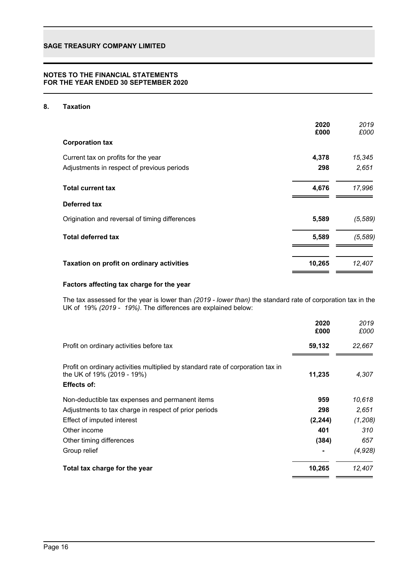## **8. Taxation**

|                                                  | 2020<br>£000 | 2019<br>£000 |
|--------------------------------------------------|--------------|--------------|
| <b>Corporation tax</b>                           |              |              |
| Current tax on profits for the year              | 4,378        | 15,345       |
| Adjustments in respect of previous periods       | 298          | 2,651        |
| <b>Total current tax</b>                         | 4,676        | 17,996       |
| <b>Deferred tax</b>                              |              |              |
| Origination and reversal of timing differences   | 5,589        | (5, 589)     |
| <b>Total deferred tax</b>                        | 5,589        | (5, 589)     |
| <b>Taxation on profit on ordinary activities</b> | 10,265       | 12,407       |

## **Factors affecting tax charge for the year**

The tax assessed for the year is lower than *(2019 - lower than)* the standard rate of corporation tax in the UK of 19% *(2019 - 19%)*. The differences are explained below:

|                                                                                                                                     | 2020<br>£000 | 2019<br>£000 |
|-------------------------------------------------------------------------------------------------------------------------------------|--------------|--------------|
| Profit on ordinary activities before tax                                                                                            | 59,132       | 22,667       |
| Profit on ordinary activities multiplied by standard rate of corporation tax in<br>the UK of 19% (2019 - 19%)<br><b>Effects of:</b> | 11,235       | 4,307        |
| Non-deductible tax expenses and permanent items                                                                                     | 959          | 10,618       |
| Adjustments to tax charge in respect of prior periods                                                                               | 298          | 2,651        |
| Effect of imputed interest                                                                                                          | (2, 244)     | (1, 208)     |
| Other income                                                                                                                        | 401          | 310          |
| Other timing differences                                                                                                            | (384)        | 657          |
| Group relief                                                                                                                        |              | (4,928)      |
| Total tax charge for the year                                                                                                       | 10,265       | 12,407       |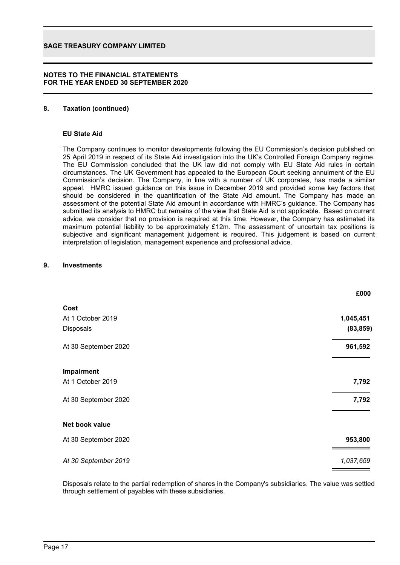#### **NOTES TO THE FINANCIAL STATEMENTS FOR THE YEAR ENDED 30 SEPTEMBER 2020**

## **8. Taxation (continued)**

#### **EU State Aid**

The Company continues to monitor developments following the EU Commission's decision published on 25 April 2019 in respect of its State Aid investigation into the UK's Controlled Foreign Company regime. The EU Commission concluded that the UK law did not comply with EU State Aid rules in certain circumstances. The UK Government has appealed to the European Court seeking annulment of the EU Commission's decision. The Company, in line with a number of UK corporates, has made a similar appeal. HMRC issued guidance on this issue in December 2019 and provided some key factors that should be considered in the quantification of the State Aid amount. The Company has made an assessment of the potential State Aid amount in accordance with HMRC's guidance. The Company has submitted its analysis to HMRC but remains of the view that State Aid is not applicable. Based on current advice, we consider that no provision is required at this time. However, the Company has estimated its maximum potential liability to be approximately £12m. The assessment of uncertain tax positions is subjective and significant management judgement is required. This judgement is based on current interpretation of legislation, management experience and professional advice.

#### **9. Investments**

|                      | £000      |
|----------------------|-----------|
| Cost                 |           |
| At 1 October 2019    | 1,045,451 |
| Disposals            | (83, 859) |
| At 30 September 2020 | 961,592   |
| Impairment           |           |
| At 1 October 2019    | 7,792     |
| At 30 September 2020 | 7,792     |
| Net book value       |           |
| At 30 September 2020 | 953,800   |
| At 30 September 2019 | 1,037,659 |

Disposals relate to the partial redemption of shares in the Company's subsidiaries. The value was settled through settlement of payables with these subsidiaries.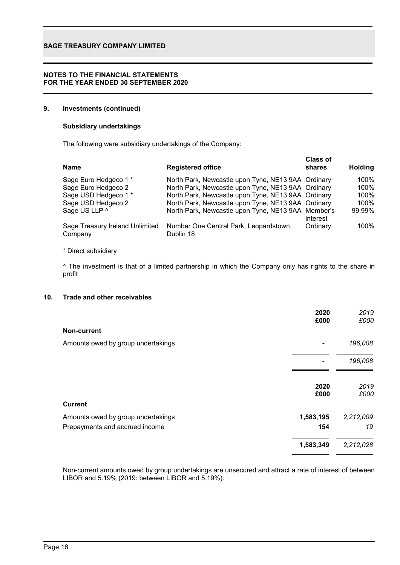## **9. Investments (continued)**

## **Subsidiary undertakings**

The following were subsidiary undertakings of the Company:

| <b>Registered office</b>                            | <b>Class of</b><br>shares | <b>Holding</b>                                                                                                                                                                                                                                                             |
|-----------------------------------------------------|---------------------------|----------------------------------------------------------------------------------------------------------------------------------------------------------------------------------------------------------------------------------------------------------------------------|
|                                                     |                           | 100%                                                                                                                                                                                                                                                                       |
|                                                     |                           | 100%                                                                                                                                                                                                                                                                       |
|                                                     |                           | 100%                                                                                                                                                                                                                                                                       |
|                                                     |                           | 100%                                                                                                                                                                                                                                                                       |
|                                                     | interest                  | 99.99%                                                                                                                                                                                                                                                                     |
| Number One Central Park, Leopardstown,<br>Dublin 18 | Ordinary                  | 100%                                                                                                                                                                                                                                                                       |
|                                                     |                           | North Park, Newcastle upon Tyne, NE13 9AA Ordinary<br>North Park, Newcastle upon Tyne, NE13 9AA Ordinary<br>North Park, Newcastle upon Tyne, NE13 9AA Ordinary<br>North Park, Newcastle upon Tyne, NE13 9AA Ordinary<br>North Park, Newcastle upon Tyne, NE13 9AA Member's |

#### \* Direct subsidiary

^ The investment is that of a limited partnership in which the Company only has rights to the share in profit

## **10. Trade and other receivables**

|                                    | 2020<br>£000   | 2019<br>£000 |
|------------------------------------|----------------|--------------|
| <b>Non-current</b>                 |                |              |
| Amounts owed by group undertakings | $\blacksquare$ | 196,008      |
|                                    |                | 196,008      |
|                                    | 2020<br>£000   | 2019<br>£000 |
| <b>Current</b>                     |                |              |
| Amounts owed by group undertakings | 1,583,195      | 2,212,009    |
| Prepayments and accrued income     | 154            | 19           |
|                                    | 1,583,349      | 2,212,028    |

Non-current amounts owed by group undertakings are unsecured and attract a rate of interest of between LIBOR and 5.19% (2019: between LIBOR and 5.19%).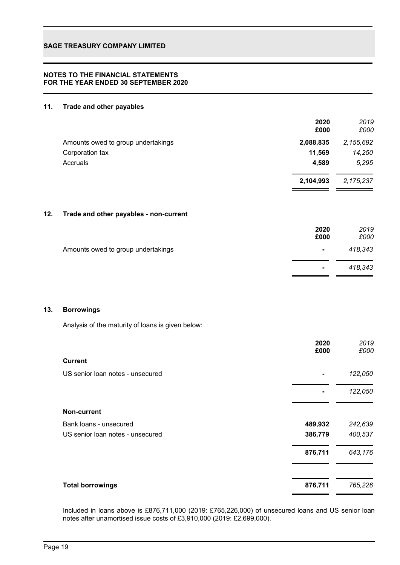## **11. Trade and other payables**

|                                    | 2020<br>£000 | 2019<br>£00C |
|------------------------------------|--------------|--------------|
| Amounts owed to group undertakings | 2,088,835    | 2, 155, 692  |
| Corporation tax                    | 11,569       | 14,250       |
| Accruals                           | 4,589        | 5,295        |
|                                    | 2,104,993    | 2,175,237    |

 $=$   $=$ 

### **12. Trade and other payables - non-current**

|                                    | 2020<br>£000   | 2019<br>£000 |
|------------------------------------|----------------|--------------|
| Amounts owed to group undertakings | $\blacksquare$ | 418,343      |
|                                    | $\blacksquare$ | 418,343      |

### **13. Borrowings**

Analysis of the maturity of loans is given below:

|                                  | 2020<br>£000 | 2019<br>£000 |
|----------------------------------|--------------|--------------|
| <b>Current</b>                   |              |              |
| US senior loan notes - unsecured |              | 122,050      |
|                                  |              | 122,050      |
| Non-current                      |              |              |
| Bank loans - unsecured           | 489,932      | 242,639      |
| US senior loan notes - unsecured | 386,779      | 400,537      |
|                                  | 876,711      | 643,176      |
| <b>Total borrowings</b>          | 876,711      | 765,226      |

Included in loans above is £876,711,000 (2019: £765,226,000) of unsecured loans and US senior loan notes after unamortised issue costs of £3,910,000 (2019: £2,699,000).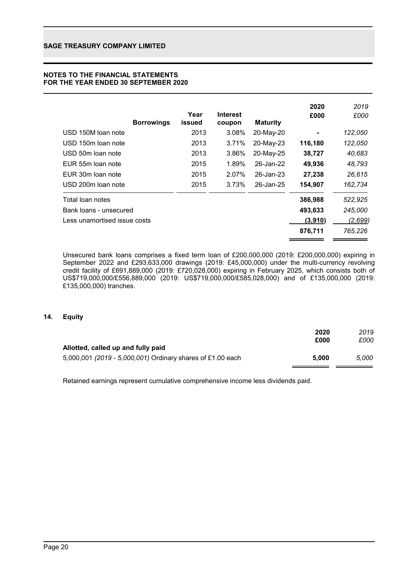|                              | <b>Borrowings</b> | Year<br>issued | <b>Interest</b><br>coupon | <b>Maturity</b> | 2020<br>£000 | 2019<br>£000 |
|------------------------------|-------------------|----------------|---------------------------|-----------------|--------------|--------------|
| USD 150M loan note           |                   | 2013           | 3.08%                     | 20-May-20       |              | 122,050      |
| USD 150m loan note           |                   | 2013           | 3.71%                     | 20-May-23       | 116,180      | 122,050      |
| USD 50m loan note            |                   | 2013           | 3.86%                     | 20-May-25       | 38,727       | 40,683       |
| EUR 55m loan note            |                   | 2015           | 1.89%                     | 26-Jan-22       | 49,936       | 48,793       |
| EUR 30m loan note            |                   | 2015           | 2.07%                     | 26-Jan-23       | 27,238       | 26,615       |
| USD 200m loan note           |                   | 2015           | 3.73%                     | 26-Jan-25       | 154,907      | 162,734      |
| Total loan notes             |                   |                |                           |                 | 386,988      | 522,925      |
| Bank loans - unsecured       |                   |                |                           |                 | 493,633      | 245,000      |
| Less unamortised issue costs |                   |                |                           |                 | (3,910)      | (2,699)      |
|                              |                   |                |                           |                 | 876,711      | 765,226      |

Unsecured bank loans comprises a fixed term loan of £200,000,000 (2019: £200,000,000) expiring in September 2022 and £293,633,000 drawings (2019: £45,000,000) under the multi-currency revolving credit facility of £691,889,000 (2019: £720,028,000) expiring in February 2025, which consists both of US\$719,000,000/£556,889,000 (2019: US\$719,000,000/£585,028,000) and of £135,000,000 (2019: £135,000,000) tranches.

## **14. Equity**

|                                                            | 2020  | 2019  |
|------------------------------------------------------------|-------|-------|
|                                                            | £000  | £000  |
| Allotted, called up and fully paid                         |       |       |
| 5,000,001 (2019 - 5,000,001) Ordinary shares of £1.00 each | 5.000 | 5.000 |

Retained earnings represent cumulative comprehensive income less dividends paid.